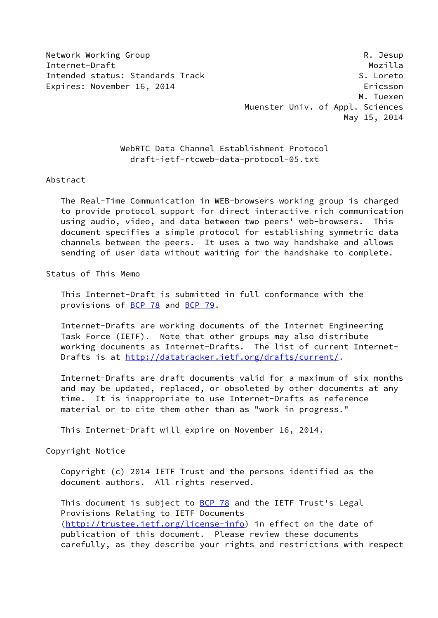Network Working Group **Reading Reading Community** R. Jesup

Internet-Draft Mozilla Intended status: Standards Track S. Loreto Expires: November 16, 2014 **Expires: November 16, 2014**  M. Tuexen Muenster Univ. of Appl. Sciences May 15, 2014

> WebRTC Data Channel Establishment Protocol draft-ietf-rtcweb-data-protocol-05.txt

#### Abstract

 The Real-Time Communication in WEB-browsers working group is charged to provide protocol support for direct interactive rich communication using audio, video, and data between two peers' web-browsers. This document specifies a simple protocol for establishing symmetric data channels between the peers. It uses a two way handshake and allows sending of user data without waiting for the handshake to complete.

### Status of This Memo

 This Internet-Draft is submitted in full conformance with the provisions of [BCP 78](https://datatracker.ietf.org/doc/pdf/bcp78) and [BCP 79](https://datatracker.ietf.org/doc/pdf/bcp79).

 Internet-Drafts are working documents of the Internet Engineering Task Force (IETF). Note that other groups may also distribute working documents as Internet-Drafts. The list of current Internet- Drafts is at<http://datatracker.ietf.org/drafts/current/>.

 Internet-Drafts are draft documents valid for a maximum of six months and may be updated, replaced, or obsoleted by other documents at any time. It is inappropriate to use Internet-Drafts as reference material or to cite them other than as "work in progress."

This Internet-Draft will expire on November 16, 2014.

#### Copyright Notice

 Copyright (c) 2014 IETF Trust and the persons identified as the document authors. All rights reserved.

This document is subject to **[BCP 78](https://datatracker.ietf.org/doc/pdf/bcp78)** and the IETF Trust's Legal Provisions Relating to IETF Documents [\(http://trustee.ietf.org/license-info](http://trustee.ietf.org/license-info)) in effect on the date of publication of this document. Please review these documents carefully, as they describe your rights and restrictions with respect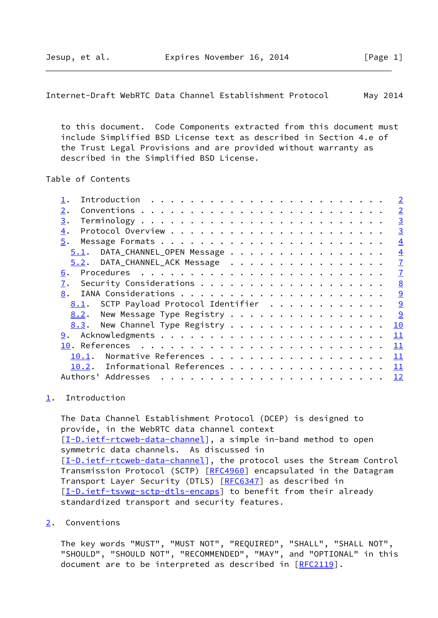<span id="page-1-1"></span> to this document. Code Components extracted from this document must include Simplified BSD License text as described in Section 4.e of the Trust Legal Provisions and are provided without warranty as described in the Simplified BSD License.

Table of Contents

| Introduction $\ldots \ldots \ldots \ldots \ldots \ldots \ldots \ldots$ |  |  |  |  |  |  | $\overline{\phantom{0}}^2$ |
|------------------------------------------------------------------------|--|--|--|--|--|--|----------------------------|
| 2.                                                                     |  |  |  |  |  |  | $\overline{2}$             |
| 3.                                                                     |  |  |  |  |  |  | $\overline{3}$             |
| $\overline{4}$ .                                                       |  |  |  |  |  |  | $\overline{3}$             |
| 5.                                                                     |  |  |  |  |  |  | $\overline{4}$             |
| 5.1. DATA_CHANNEL_OPEN Message                                         |  |  |  |  |  |  | $\overline{4}$             |
| 5.2. DATA_CHANNEL_ACK Message                                          |  |  |  |  |  |  | $\overline{1}$             |
| 6.                                                                     |  |  |  |  |  |  | $\overline{1}$             |
| 7.                                                                     |  |  |  |  |  |  | 8                          |
| 8.                                                                     |  |  |  |  |  |  | $\overline{9}$             |
| 8.1. SCTP Payload Protocol Identifier                                  |  |  |  |  |  |  | $\overline{9}$             |
| New Message Type Registry<br>8.2.                                      |  |  |  |  |  |  | 9                          |
| 8.3. New Channel Type Registry                                         |  |  |  |  |  |  | 10                         |
|                                                                        |  |  |  |  |  |  | 11                         |
|                                                                        |  |  |  |  |  |  | 11                         |
| 10.1.                                                                  |  |  |  |  |  |  | 11                         |
| 10.2. Informational References                                         |  |  |  |  |  |  | 11                         |
|                                                                        |  |  |  |  |  |  | <u> 12</u>                 |
|                                                                        |  |  |  |  |  |  |                            |

### <span id="page-1-0"></span>[1](#page-1-0). Introduction

 The Data Channel Establishment Protocol (DCEP) is designed to provide, in the WebRTC data channel context [\[I-D.ietf-rtcweb-data-channel](#page-12-2)], a simple in-band method to open symmetric data channels. As discussed in [\[I-D.ietf-rtcweb-data-channel](#page-12-2)], the protocol uses the Stream Control Transmission Protocol (SCTP) [\[RFC4960](https://datatracker.ietf.org/doc/pdf/rfc4960)] encapsulated in the Datagram Transport Layer Security (DTLS) [\[RFC6347](https://datatracker.ietf.org/doc/pdf/rfc6347)] as described in [\[I-D.ietf-tsvwg-sctp-dtls-encaps](#page-12-3)] to benefit from their already standardized transport and security features.

<span id="page-1-2"></span>[2](#page-1-2). Conventions

 The key words "MUST", "MUST NOT", "REQUIRED", "SHALL", "SHALL NOT", "SHOULD", "SHOULD NOT", "RECOMMENDED", "MAY", and "OPTIONAL" in this document are to be interpreted as described in [\[RFC2119](https://datatracker.ietf.org/doc/pdf/rfc2119)].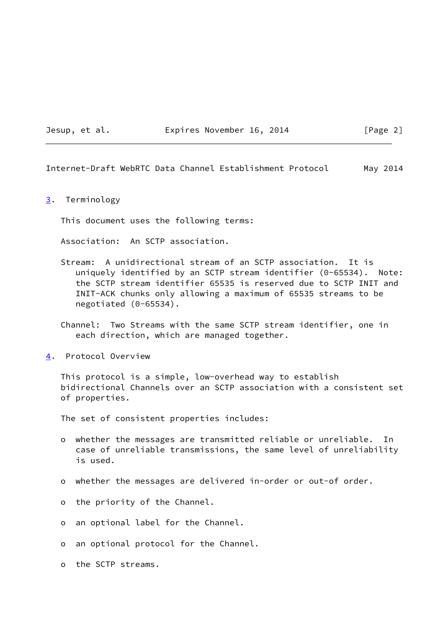#### Jesup, et al. **Expires November 16, 2014** [Page 2]

<span id="page-2-1"></span>Internet-Draft WebRTC Data Channel Establishment Protocol May 2014

#### <span id="page-2-0"></span>[3](#page-2-0). Terminology

This document uses the following terms:

Association: An SCTP association.

 Stream: A unidirectional stream of an SCTP association. It is uniquely identified by an SCTP stream identifier (0-65534). Note: the SCTP stream identifier 65535 is reserved due to SCTP INIT and INIT-ACK chunks only allowing a maximum of 65535 streams to be negotiated (0-65534).

 Channel: Two Streams with the same SCTP stream identifier, one in each direction, which are managed together.

<span id="page-2-2"></span>[4](#page-2-2). Protocol Overview

 This protocol is a simple, low-overhead way to establish bidirectional Channels over an SCTP association with a consistent set of properties.

The set of consistent properties includes:

- o whether the messages are transmitted reliable or unreliable. In case of unreliable transmissions, the same level of unreliability is used.
- o whether the messages are delivered in-order or out-of order.
- o the priority of the Channel.
- o an optional label for the Channel.
- o an optional protocol for the Channel.
- o the SCTP streams.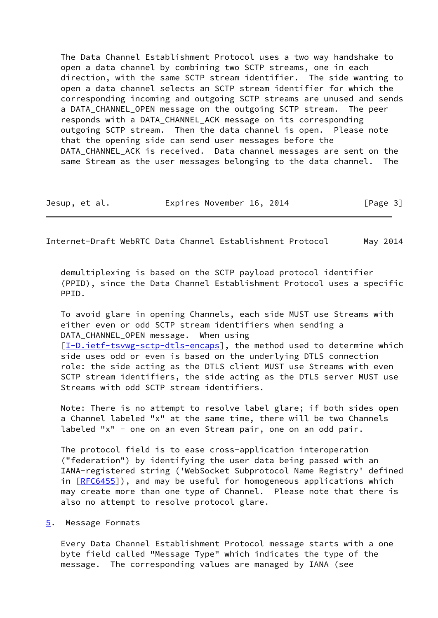The Data Channel Establishment Protocol uses a two way handshake to open a data channel by combining two SCTP streams, one in each direction, with the same SCTP stream identifier. The side wanting to open a data channel selects an SCTP stream identifier for which the corresponding incoming and outgoing SCTP streams are unused and sends a DATA CHANNEL OPEN message on the outgoing SCTP stream. The peer responds with a DATA\_CHANNEL\_ACK message on its corresponding outgoing SCTP stream. Then the data channel is open. Please note that the opening side can send user messages before the DATA\_CHANNEL\_ACK is received. Data channel messages are sent on the same Stream as the user messages belonging to the data channel. The

Jesup, et al. Expires November 16, 2014 [Page 3]

<span id="page-3-1"></span>Internet-Draft WebRTC Data Channel Establishment Protocol May 2014

 demultiplexing is based on the SCTP payload protocol identifier (PPID), since the Data Channel Establishment Protocol uses a specific PPID.

 To avoid glare in opening Channels, each side MUST use Streams with either even or odd SCTP stream identifiers when sending a DATA\_CHANNEL\_OPEN message. When using [\[I-D.ietf-tsvwg-sctp-dtls-encaps](#page-12-3)], the method used to determine which side uses odd or even is based on the underlying DTLS connection role: the side acting as the DTLS client MUST use Streams with even SCTP stream identifiers, the side acting as the DTLS server MUST use Streams with odd SCTP stream identifiers.

 Note: There is no attempt to resolve label glare; if both sides open a Channel labeled "x" at the same time, there will be two Channels labeled "x" - one on an even Stream pair, one on an odd pair.

 The protocol field is to ease cross-application interoperation ("federation") by identifying the user data being passed with an IANA-registered string ('WebSocket Subprotocol Name Registry' defined in [[RFC6455\]](https://datatracker.ietf.org/doc/pdf/rfc6455)), and may be useful for homogeneous applications which may create more than one type of Channel. Please note that there is also no attempt to resolve protocol glare.

### <span id="page-3-0"></span>[5](#page-3-0). Message Formats

 Every Data Channel Establishment Protocol message starts with a one byte field called "Message Type" which indicates the type of the message. The corresponding values are managed by IANA (see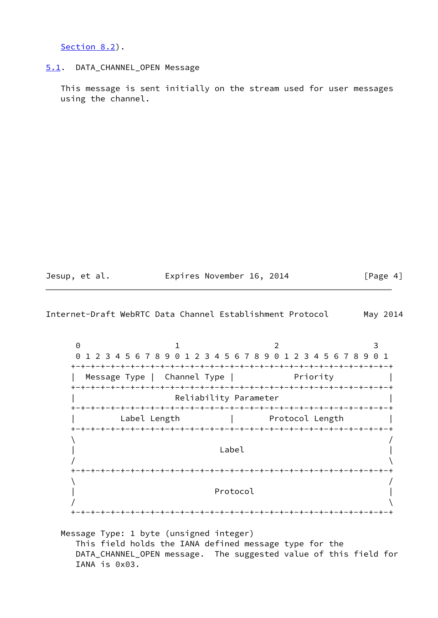[Section 8.2](#page-9-3)).

#### <span id="page-4-0"></span>[5.1](#page-4-0). DATA\_CHANNEL\_OPEN Message

 This message is sent initially on the stream used for user messages using the channel.

Jesup, et al. Expires November 16, 2014 [Page 4]

Internet-Draft WebRTC Data Channel Establishment Protocol May 2014

0 1 2 3 0 1 2 3 4 5 6 7 8 9 0 1 2 3 4 5 6 7 8 9 0 1 2 3 4 5 6 7 8 9 0 1 +-+-+-+-+-+-+-+-+-+-+-+-+-+-+-+-+-+-+-+-+-+-+-+-+-+-+-+-+-+-+-+-+ | Message Type | Channel Type | Priority +-+-+-+-+-+-+-+-+-+-+-+-+-+-+-+-+-+-+-+-+-+-+-+-+-+-+-+-+-+-+-+-+ Reliability Parameter +-+-+-+-+-+-+-+-+-+-+-+-+-+-+-+-+-+-+-+-+-+-+-+-+-+-+-+-+-+-+-+-+ Label Length | Protocol Length +-+-+-+-+-+-+-+-+-+-+-+-+-+-+-+-+-+-+-+-+-+-+-+-+-+-+-+-+-+-+-+-+  $\sqrt{2}$  $\vert$  and  $\vert$  are the contract of  $\vert$  and  $\vert$  and  $\vert$  are the contract of  $\vert$  and  $\vert$  and  $\vert$  and  $\vert$  and  $\vert$  and  $\vert$  and  $\vert$  and  $\vert$  and  $\vert$  and  $\vert$  and  $\vert$  and  $\vert$  and  $\vert$  and  $\vert$  and  $\vert$  and  $\vert$  and  $/$  +-+-+-+-+-+-+-+-+-+-+-+-+-+-+-+-+-+-+-+-+-+-+-+-+-+-+-+-+-+-+-+-+  $\sqrt{2}$ Protocol  $/$ +-+-+-+-+-+-+-+-+-+-+-+-+-+-+-+-+-+-+-+-+-+-+-+-+-+-+-+-+-+-+-+-+

 Message Type: 1 byte (unsigned integer) This field holds the IANA defined message type for the DATA\_CHANNEL\_OPEN message. The suggested value of this field for IANA is 0x03.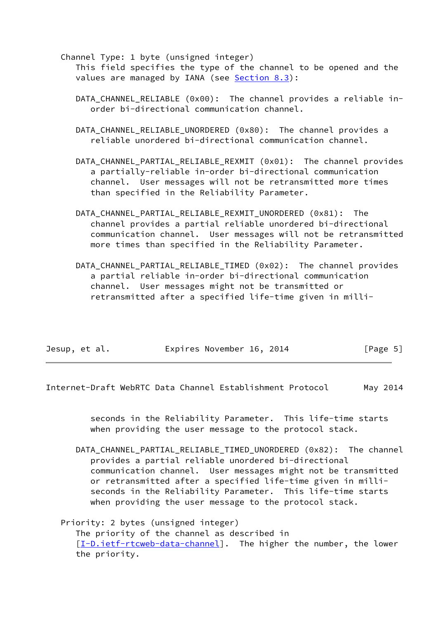Channel Type: 1 byte (unsigned integer) This field specifies the type of the channel to be opened and the values are managed by IANA (see [Section 8.3](#page-10-0)):

- DATA CHANNEL RELIABLE (0x00): The channel provides a reliable inorder bi-directional communication channel.
- DATA CHANNEL RELIABLE UNORDERED (0x80): The channel provides a reliable unordered bi-directional communication channel.
- DATA\_CHANNEL\_PARTIAL\_RELIABLE\_REXMIT (0x01): The channel provides a partially-reliable in-order bi-directional communication channel. User messages will not be retransmitted more times than specified in the Reliability Parameter.
- DATA CHANNEL PARTIAL RELIABLE REXMIT UNORDERED (0x81): The channel provides a partial reliable unordered bi-directional communication channel. User messages will not be retransmitted more times than specified in the Reliability Parameter.
- DATA\_CHANNEL\_PARTIAL\_RELIABLE\_TIMED (0x02): The channel provides a partial reliable in-order bi-directional communication channel. User messages might not be transmitted or retransmitted after a specified life-time given in milli-

| Jesup, et al. |  |  |  | Expires November 16, 2014 |  |  | [Page 5] |  |
|---------------|--|--|--|---------------------------|--|--|----------|--|
|---------------|--|--|--|---------------------------|--|--|----------|--|

Internet-Draft WebRTC Data Channel Establishment Protocol May 2014

 seconds in the Reliability Parameter. This life-time starts when providing the user message to the protocol stack.

 DATA\_CHANNEL\_PARTIAL\_RELIABLE\_TIMED\_UNORDERED (0x82): The channel provides a partial reliable unordered bi-directional communication channel. User messages might not be transmitted or retransmitted after a specified life-time given in milli seconds in the Reliability Parameter. This life-time starts when providing the user message to the protocol stack.

 Priority: 2 bytes (unsigned integer) The priority of the channel as described in [[I-D.ietf-rtcweb-data-channel\]](#page-12-2). The higher the number, the lower the priority.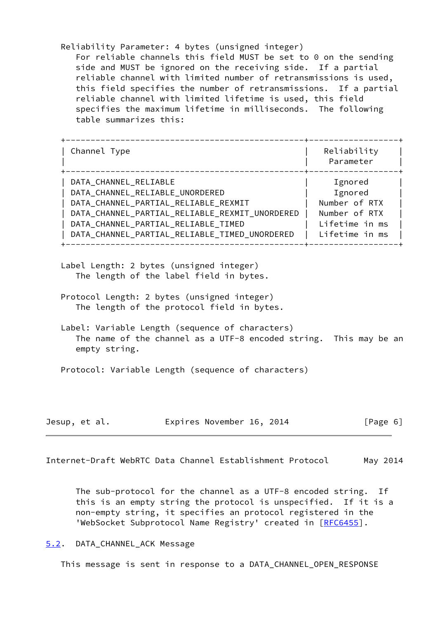Reliability Parameter: 4 bytes (unsigned integer) For reliable channels this field MUST be set to 0 on the sending side and MUST be ignored on the receiving side. If a partial reliable channel with limited number of retransmissions is used, this field specifies the number of retransmissions. If a partial reliable channel with limited lifetime is used, this field specifies the maximum lifetime in milliseconds. The following table summarizes this:

| Channel Type                                   | Reliability<br>Parameter |
|------------------------------------------------|--------------------------|
| DATA CHANNEL RELIABLE                          | Ignored                  |
| DATA_CHANNEL_RELIABLE_UNORDERED                | Ignored                  |
| DATA_CHANNEL_PARTIAL_RELIABLE_REXMIT           | Number of RTX            |
| DATA_CHANNEL_PARTIAL_RELIABLE_REXMIT_UNORDERED | Number of RTX            |
| DATA_CHANNEL_PARTIAL_RELIABLE_TIMED            | Lifetime in ms           |
| DATA_CHANNEL_PARTIAL_RELIABLE_TIMED_UNORDERED  | Lifetime in ms           |

- Label Length: 2 bytes (unsigned integer) The length of the label field in bytes.
- Protocol Length: 2 bytes (unsigned integer) The length of the protocol field in bytes.
- Label: Variable Length (sequence of characters) The name of the channel as a UTF-8 encoded string. This may be an empty string.

Protocol: Variable Length (sequence of characters)

| Jesup, et al. | Expires November 16, 2014 | [Page 6] |
|---------------|---------------------------|----------|
|---------------|---------------------------|----------|

<span id="page-6-1"></span>Internet-Draft WebRTC Data Channel Establishment Protocol May 2014

 The sub-protocol for the channel as a UTF-8 encoded string. If this is an empty string the protocol is unspecified. If it is a non-empty string, it specifies an protocol registered in the 'WebSocket Subprotocol Name Registry' created in [\[RFC6455](https://datatracker.ietf.org/doc/pdf/rfc6455)].

# <span id="page-6-0"></span>[5.2](#page-6-0). DATA\_CHANNEL\_ACK Message

This message is sent in response to a DATA\_CHANNEL\_OPEN\_RESPONSE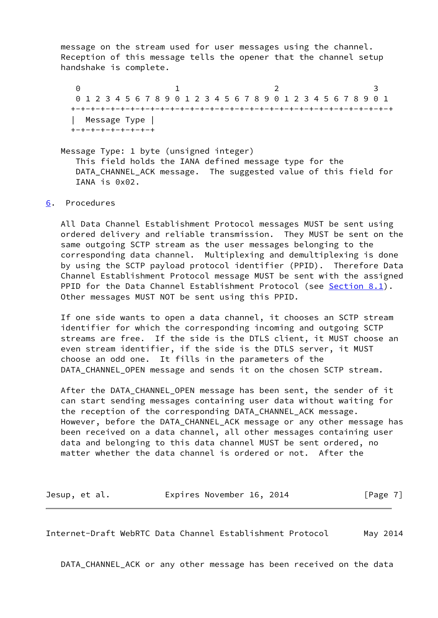message on the stream used for user messages using the channel. Reception of this message tells the opener that the channel setup handshake is complete.

0 1 2 3 0 1 2 3 4 5 6 7 8 9 0 1 2 3 4 5 6 7 8 9 0 1 2 3 4 5 6 7 8 9 0 1 +-+-+-+-+-+-+-+-+-+-+-+-+-+-+-+-+-+-+-+-+-+-+-+-+-+-+-+-+-+-+-+-+ | Message Type | +-+-+-+-+-+-+-+-+

 Message Type: 1 byte (unsigned integer) This field holds the IANA defined message type for the DATA\_CHANNEL\_ACK message. The suggested value of this field for IANA is 0x02.

### <span id="page-7-0"></span>[6](#page-7-0). Procedures

 All Data Channel Establishment Protocol messages MUST be sent using ordered delivery and reliable transmission. They MUST be sent on the same outgoing SCTP stream as the user messages belonging to the corresponding data channel. Multiplexing and demultiplexing is done by using the SCTP payload protocol identifier (PPID). Therefore Data Channel Establishment Protocol message MUST be sent with the assigned PPID for the Data Channel Establishment Protocol (see [Section 8.1](#page-9-2)). Other messages MUST NOT be sent using this PPID.

 If one side wants to open a data channel, it chooses an SCTP stream identifier for which the corresponding incoming and outgoing SCTP streams are free. If the side is the DTLS client, it MUST choose an even stream identifier, if the side is the DTLS server, it MUST choose an odd one. It fills in the parameters of the DATA\_CHANNEL\_OPEN message and sends it on the chosen SCTP stream.

 After the DATA\_CHANNEL\_OPEN message has been sent, the sender of it can start sending messages containing user data without waiting for the reception of the corresponding DATA\_CHANNEL\_ACK message. However, before the DATA\_CHANNEL\_ACK message or any other message has been received on a data channel, all other messages containing user data and belonging to this data channel MUST be sent ordered, no matter whether the data channel is ordered or not. After the

Jesup, et al. **Expires November 16, 2014** [Page 7]

<span id="page-7-1"></span>Internet-Draft WebRTC Data Channel Establishment Protocol May 2014

DATA\_CHANNEL\_ACK or any other message has been received on the data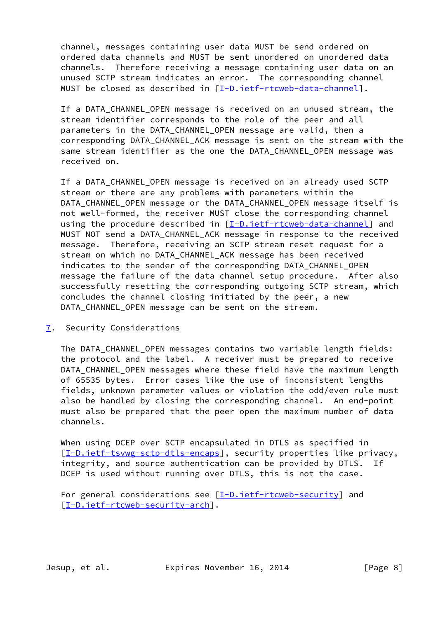channel, messages containing user data MUST be send ordered on ordered data channels and MUST be sent unordered on unordered data channels. Therefore receiving a message containing user data on an unused SCTP stream indicates an error. The corresponding channel MUST be closed as described in [\[I-D.ietf-rtcweb-data-channel](#page-12-2)].

If a DATA CHANNEL OPEN message is received on an unused stream, the stream identifier corresponds to the role of the peer and all parameters in the DATA\_CHANNEL\_OPEN message are valid, then a corresponding DATA\_CHANNEL\_ACK message is sent on the stream with the same stream identifier as the one the DATA CHANNEL OPEN message was received on.

 If a DATA\_CHANNEL\_OPEN message is received on an already used SCTP stream or there are any problems with parameters within the DATA CHANNEL OPEN message or the DATA CHANNEL OPEN message itself is not well-formed, the receiver MUST close the corresponding channel using the procedure described in [\[I-D.ietf-rtcweb-data-channel](#page-12-2)] and MUST NOT send a DATA CHANNEL ACK message in response to the received message. Therefore, receiving an SCTP stream reset request for a stream on which no DATA\_CHANNEL\_ACK message has been received indicates to the sender of the corresponding DATA\_CHANNEL\_OPEN message the failure of the data channel setup procedure. After also successfully resetting the corresponding outgoing SCTP stream, which concludes the channel closing initiated by the peer, a new DATA CHANNEL OPEN message can be sent on the stream.

<span id="page-8-0"></span>[7](#page-8-0). Security Considerations

 The DATA\_CHANNEL\_OPEN messages contains two variable length fields: the protocol and the label. A receiver must be prepared to receive DATA CHANNEL OPEN messages where these field have the maximum length of 65535 bytes. Error cases like the use of inconsistent lengths fields, unknown parameter values or violation the odd/even rule must also be handled by closing the corresponding channel. An end-point must also be prepared that the peer open the maximum number of data channels.

 When using DCEP over SCTP encapsulated in DTLS as specified in [\[I-D.ietf-tsvwg-sctp-dtls-encaps](#page-12-3)], security properties like privacy, integrity, and source authentication can be provided by DTLS. If DCEP is used without running over DTLS, this is not the case.

For general considerations see [\[I-D.ietf-rtcweb-security](#page-12-4)] and [\[I-D.ietf-rtcweb-security-arch](#page-12-5)].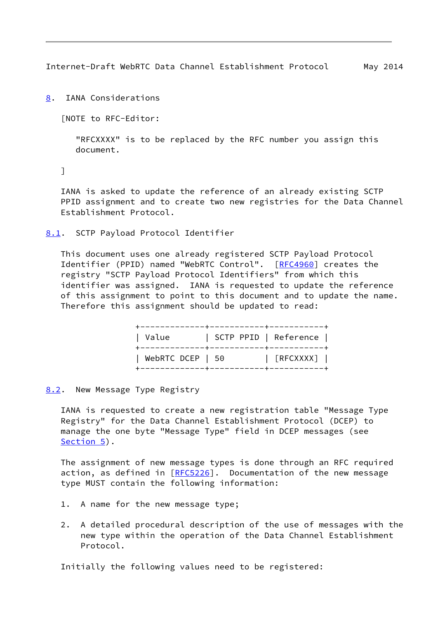<span id="page-9-1"></span><span id="page-9-0"></span>[8](#page-9-0). IANA Considerations

[NOTE to RFC-Editor:

 "RFCXXXX" is to be replaced by the RFC number you assign this document.

## ]

 IANA is asked to update the reference of an already existing SCTP PPID assignment and to create two new registries for the Data Channel Establishment Protocol.

### <span id="page-9-2"></span>[8.1](#page-9-2). SCTP Payload Protocol Identifier

 This document uses one already registered SCTP Payload Protocol Identifier (PPID) named "WebRTC Control". [[RFC4960\]](https://datatracker.ietf.org/doc/pdf/rfc4960) creates the registry "SCTP Payload Protocol Identifiers" from which this identifier was assigned. IANA is requested to update the reference of this assignment to point to this document and to update the name. Therefore this assignment should be updated to read:

| Value                  |  | -------------+-----------+------------<br>  SCTP PPID   Reference |  |
|------------------------|--|-------------------------------------------------------------------|--|
| WebRTC DCEP $\vert$ 50 |  | [RFCXXXX]                                                         |  |

<span id="page-9-3"></span>[8.2](#page-9-3). New Message Type Registry

 IANA is requested to create a new registration table "Message Type Registry" for the Data Channel Establishment Protocol (DCEP) to manage the one byte "Message Type" field in DCEP messages (see [Section 5](#page-3-0)).

 The assignment of new message types is done through an RFC required action, as defined in [[RFC5226](https://datatracker.ietf.org/doc/pdf/rfc5226)]. Documentation of the new message type MUST contain the following information:

- 1. A name for the new message type;
- 2. A detailed procedural description of the use of messages with the new type within the operation of the Data Channel Establishment Protocol.

Initially the following values need to be registered: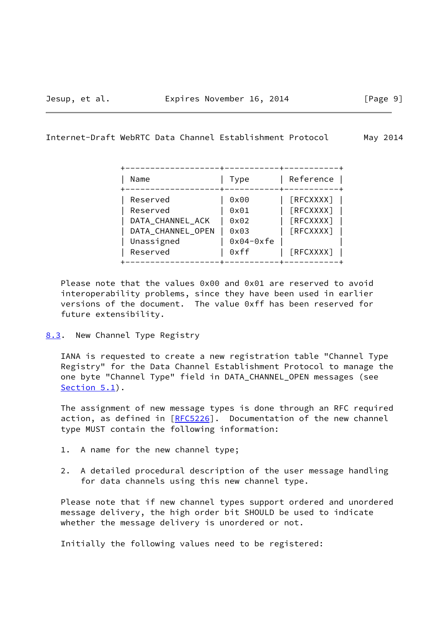<span id="page-10-1"></span>

| Name                                                                                    | Type                                                | Reference                                                 |
|-----------------------------------------------------------------------------------------|-----------------------------------------------------|-----------------------------------------------------------|
| Reserved<br>Reserved<br>DATA_CHANNEL_ACK<br>DATA_CHANNEL_OPEN<br>Unassigned<br>Reserved | 0x00<br>0x01<br>0x02<br>0x03<br>$0x04-0xfe$<br>0xff | [REXXXX]<br>[REXXXX]<br>[REXXXX]<br>[RFCXXXX]<br>[REXXXX] |

 Please note that the values 0x00 and 0x01 are reserved to avoid interoperability problems, since they have been used in earlier versions of the document. The value 0xff has been reserved for future extensibility.

<span id="page-10-0"></span>[8.3](#page-10-0). New Channel Type Registry

 IANA is requested to create a new registration table "Channel Type Registry" for the Data Channel Establishment Protocol to manage the one byte "Channel Type" field in DATA\_CHANNEL\_OPEN messages (see [Section 5.1](#page-4-0)).

 The assignment of new message types is done through an RFC required action, as defined in [[RFC5226](https://datatracker.ietf.org/doc/pdf/rfc5226)]. Documentation of the new channel type MUST contain the following information:

- 1. A name for the new channel type;
- 2. A detailed procedural description of the user message handling for data channels using this new channel type.

 Please note that if new channel types support ordered and unordered message delivery, the high order bit SHOULD be used to indicate whether the message delivery is unordered or not.

Initially the following values need to be registered: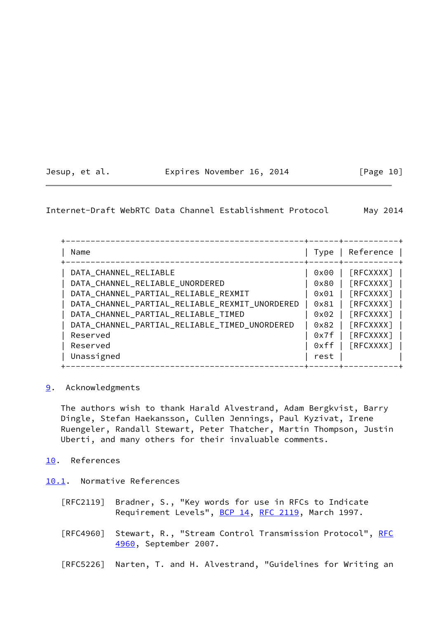<span id="page-11-1"></span>

| Jesup, et al. |  | Expires November 16, 2014 |  | [Page 10] |  |
|---------------|--|---------------------------|--|-----------|--|
|               |  |                           |  |           |  |

 +------------------------------------------------+------+-----------+ | Name | Type | Reference | +------------------------------------------------+------+-----------+ | DATA\_CHANNEL\_RELIABLE | 0x00 | [RFCXXXX] | | DATA\_CHANNEL\_RELIABLE\_UNORDERED | 0x80 | [RFCXXXX] | | DATA\_CHANNEL\_PARTIAL\_RELIABLE\_REXMIT | 0x01 | [RFCXXXX] | | DATA\_CHANNEL\_PARTIAL\_RELIABLE\_REXMIT\_UNORDERED | 0x81 | [RFCXXXX] | | DATA\_CHANNEL\_PARTIAL\_RELIABLE\_TIMED | 0x02 | [RFCXXXX] | | DATA\_CHANNEL\_PARTIAL\_RELIABLE\_TIMED\_UNORDERED | 0x82 | [RFCXXXX] | | Reserved | 0x7f | [RFCXXXX] | | Reserved | 0xff | [RFCXXXX] | | Unassigned | rest | | +------------------------------------------------+------+-----------+

<span id="page-11-0"></span>[9](#page-11-0). Acknowledgments

 The authors wish to thank Harald Alvestrand, Adam Bergkvist, Barry Dingle, Stefan Haekansson, Cullen Jennings, Paul Kyzivat, Irene Ruengeler, Randall Stewart, Peter Thatcher, Martin Thompson, Justin Uberti, and many others for their invaluable comments.

<span id="page-11-2"></span>[10.](#page-11-2) References

<span id="page-11-3"></span>[10.1](#page-11-3). Normative References

- [RFC2119] Bradner, S., "Key words for use in RFCs to Indicate Requirement Levels", [BCP 14](https://datatracker.ietf.org/doc/pdf/bcp14), [RFC 2119](https://datatracker.ietf.org/doc/pdf/rfc2119), March 1997.
- [RFC4960] Stewart, R., "Stream Control Transmission Protocol", [RFC](https://datatracker.ietf.org/doc/pdf/rfc4960) [4960,](https://datatracker.ietf.org/doc/pdf/rfc4960) September 2007.

[RFC5226] Narten, T. and H. Alvestrand, "Guidelines for Writing an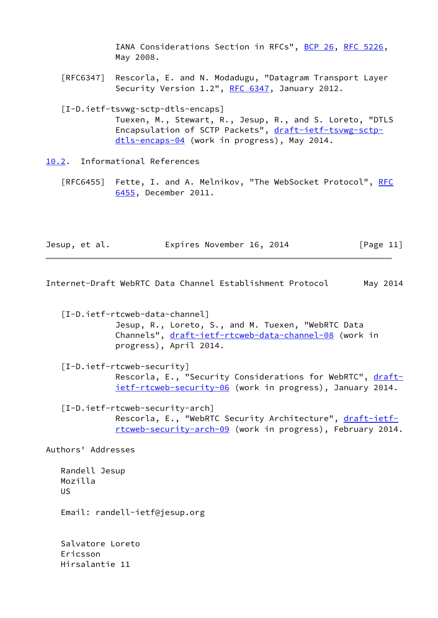IANA Considerations Section in RFCs", [BCP 26](https://datatracker.ietf.org/doc/pdf/bcp26), [RFC 5226](https://datatracker.ietf.org/doc/pdf/rfc5226), May 2008.

 [RFC6347] Rescorla, E. and N. Modadugu, "Datagram Transport Layer Security Version 1.2", [RFC 6347](https://datatracker.ietf.org/doc/pdf/rfc6347), January 2012.

<span id="page-12-3"></span> [I-D.ietf-tsvwg-sctp-dtls-encaps] Tuexen, M., Stewart, R., Jesup, R., and S. Loreto, "DTLS Encapsulation of SCTP Packets", [draft-ietf-tsvwg-sctp](https://datatracker.ietf.org/doc/pdf/draft-ietf-tsvwg-sctp-dtls-encaps-04) [dtls-encaps-04](https://datatracker.ietf.org/doc/pdf/draft-ietf-tsvwg-sctp-dtls-encaps-04) (work in progress), May 2014.

<span id="page-12-0"></span>[10.2](#page-12-0). Informational References

[RFC6455] Fette, I. and A. Melnikov, "The WebSocket Protocol", [RFC](https://datatracker.ietf.org/doc/pdf/rfc6455) [6455,](https://datatracker.ietf.org/doc/pdf/rfc6455) December 2011.

|  | Jesup, et al. | Expires November 16, 2014 | [Page 11] |
|--|---------------|---------------------------|-----------|
|--|---------------|---------------------------|-----------|

<span id="page-12-1"></span>Internet-Draft WebRTC Data Channel Establishment Protocol May 2014

<span id="page-12-2"></span> [I-D.ietf-rtcweb-data-channel] Jesup, R., Loreto, S., and M. Tuexen, "WebRTC Data Channels", [draft-ietf-rtcweb-data-channel-08](https://datatracker.ietf.org/doc/pdf/draft-ietf-rtcweb-data-channel-08) (work in progress), April 2014.

<span id="page-12-4"></span> [I-D.ietf-rtcweb-security] Rescorla, E., "Security Considerations for WebRTC", [draft](https://datatracker.ietf.org/doc/pdf/draft-ietf-rtcweb-security-06) [ietf-rtcweb-security-06](https://datatracker.ietf.org/doc/pdf/draft-ietf-rtcweb-security-06) (work in progress), January 2014.

<span id="page-12-5"></span> [I-D.ietf-rtcweb-security-arch] Rescorla, E., "WebRTC Security Architecture", [draft-ietf](https://datatracker.ietf.org/doc/pdf/draft-ietf-rtcweb-security-arch-09) [rtcweb-security-arch-09](https://datatracker.ietf.org/doc/pdf/draft-ietf-rtcweb-security-arch-09) (work in progress), February 2014.

Authors' Addresses

 Randell Jesup Mozilla US

Email: randell-ietf@jesup.org

 Salvatore Loreto Ericsson Hirsalantie 11